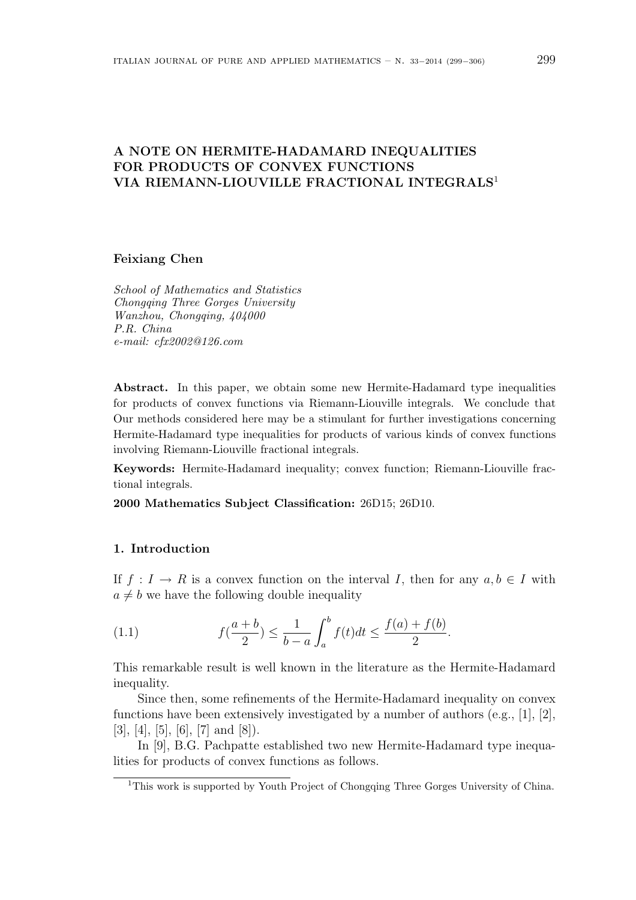# A NOTE ON HERMITE-HADAMARD INEQUALITIES FOR PRODUCTS OF CONVEX FUNCTIONS VIA RIEMANN-LIOUVILLE FRACTIONAL INTEGRALS<sup>1</sup>

Feixiang Chen

School of Mathematics and Statistics Chongqing Three Gorges University Wanzhou, Chongqing, 404000 P.R. China e-mail: cfx2002@126.com

Abstract. In this paper, we obtain some new Hermite-Hadamard type inequalities for products of convex functions via Riemann-Liouville integrals. We conclude that Our methods considered here may be a stimulant for further investigations concerning Hermite-Hadamard type inequalities for products of various kinds of convex functions involving Riemann-Liouville fractional integrals.

Keywords: Hermite-Hadamard inequality; convex function; Riemann-Liouville fractional integrals.

2000 Mathematics Subject Classification: 26D15; 26D10.

### 1. Introduction

If  $f: I \to R$  is a convex function on the interval I, then for any  $a, b \in I$  with  $a \neq b$  we have the following double inequality

(1.1) 
$$
f(\frac{a+b}{2}) \leq \frac{1}{b-a} \int_a^b f(t)dt \leq \frac{f(a)+f(b)}{2}.
$$

This remarkable result is well known in the literature as the Hermite-Hadamard inequality.

Since then, some refinements of the Hermite-Hadamard inequality on convex functions have been extensively investigated by a number of authors (e.g., [1], [2], [3], [4], [5], [6], [7] and [8]).

In [9], B.G. Pachpatte established two new Hermite-Hadamard type inequalities for products of convex functions as follows.

<sup>&</sup>lt;sup>1</sup>This work is supported by Youth Project of Chongqing Three Gorges University of China.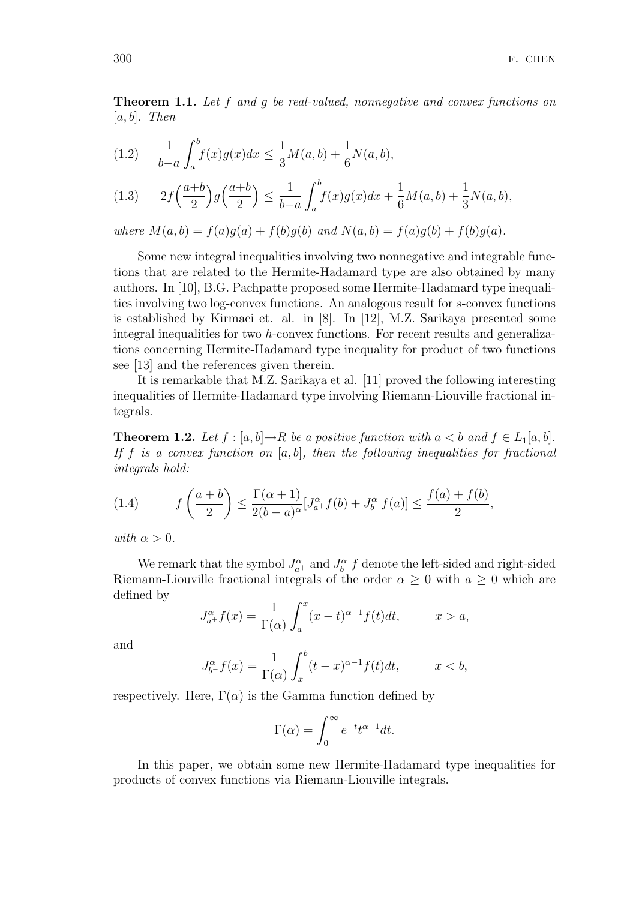Theorem 1.1. Let f and g be real-valued, nonnegative and convex functions on  $[a, b]$ . Then

(1.2) 
$$
\frac{1}{b-a} \int_{a}^{b} f(x)g(x)dx \leq \frac{1}{3}M(a,b) + \frac{1}{6}N(a,b),
$$

$$
(1.3) \qquad 2f\Big(\frac{a+b}{2}\Big)g\Big(\frac{a+b}{2}\Big) \le \frac{1}{b-a}\int_a^b f(x)g(x)dx + \frac{1}{6}M(a,b) + \frac{1}{3}N(a,b),
$$

where  $M(a, b) = f(a)g(a) + f(b)g(b)$  and  $N(a, b) = f(a)g(b) + f(b)g(a)$ .

Some new integral inequalities involving two nonnegative and integrable functions that are related to the Hermite-Hadamard type are also obtained by many authors. In [10], B.G. Pachpatte proposed some Hermite-Hadamard type inequalities involving two log-convex functions. An analogous result for s-convex functions is established by Kirmaci et. al. in [8]. In [12], M.Z. Sarikaya presented some integral inequalities for two h-convex functions. For recent results and generalizations concerning Hermite-Hadamard type inequality for product of two functions see [13] and the references given therein.

It is remarkable that M.Z. Sarikaya et al. [11] proved the following interesting inequalities of Hermite-Hadamard type involving Riemann-Liouville fractional integrals.

**Theorem 1.2.** Let  $f : [a, b] \to R$  be a positive function with  $a < b$  and  $f \in L_1[a, b]$ . If f is a convex function on  $[a, b]$ , then the following inequalities for fractional integrals hold:

(1.4) 
$$
f\left(\frac{a+b}{2}\right) \le \frac{\Gamma(\alpha+1)}{2(b-a)^{\alpha}}[J^{\alpha}_{a+}f(b) + J^{\alpha}_{b-}f(a)] \le \frac{f(a)+f(b)}{2},
$$

with  $\alpha > 0$ .

We remark that the symbol  $J_{a^+}^{\alpha}$  and  $J_{b^-}^{\alpha}f$  denote the left-sided and right-sided Riemann-Liouville fractional integrals of the order  $\alpha \geq 0$  with  $a \geq 0$  which are defined by  $\overline{r}$ 

$$
J_{a+}^{\alpha}f(x) = \frac{1}{\Gamma(\alpha)} \int_{a}^{x} (x-t)^{\alpha-1} f(t)dt, \qquad x > a,
$$

and

$$
J_{b^{-}}^{\alpha} f(x) = \frac{1}{\Gamma(\alpha)} \int_{x}^{b} (t - x)^{\alpha - 1} f(t) dt, \qquad x < b,
$$

respectively. Here,  $\Gamma(\alpha)$  is the Gamma function defined by

$$
\Gamma(\alpha) = \int_0^\infty e^{-t} t^{\alpha - 1} dt.
$$

In this paper, we obtain some new Hermite-Hadamard type inequalities for products of convex functions via Riemann-Liouville integrals.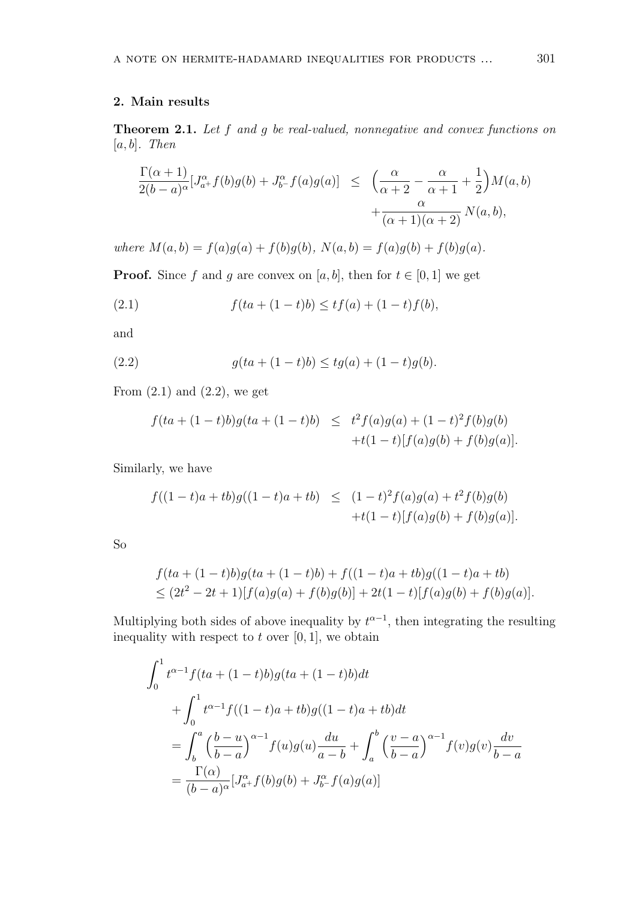#### 2. Main results

Theorem 2.1. Let f and g be real-valued, nonnegative and convex functions on  $[a, b]$ . Then

$$
\frac{\Gamma(\alpha+1)}{2(b-a)^{\alpha}}[J^{\alpha}_{a+}f(b)g(b) + J^{\alpha}_{b-}f(a)g(a)] \leq \left(\frac{\alpha}{\alpha+2} - \frac{\alpha}{\alpha+1} + \frac{1}{2}\right)M(a,b) + \frac{\alpha}{(\alpha+1)(\alpha+2)}N(a,b),
$$

where  $M(a, b) = f(a)g(a) + f(b)g(b)$ ,  $N(a, b) = f(a)g(b) + f(b)g(a)$ .

**Proof.** Since f and g are convex on [a, b], then for  $t \in [0, 1]$  we get

(2.1) 
$$
f(ta + (1-t)b) \le tf(a) + (1-t)f(b),
$$

and

(2.2) 
$$
g(ta + (1-t)b) \leq tg(a) + (1-t)g(b).
$$

From  $(2.1)$  and  $(2.2)$ , we get

$$
f(ta + (1-t)b)g(ta + (1-t)b) \leq t^2 f(a)g(a) + (1-t)^2 f(b)g(b) + t(1-t)[f(a)g(b) + f(b)g(a)].
$$

Similarly, we have

$$
f((1-t)a + tb)g((1-t)a + tb) \le (1-t)^2 f(a)g(a) + t^2 f(b)g(b)
$$
  
+t(1-t)[f(a)g(b) + f(b)g(a)].

So

$$
f(ta + (1-t)b)g(ta + (1-t)b) + f((1-t)a + tb)g((1-t)a + tb)
$$
  
\n
$$
\leq (2t^2 - 2t + 1)[f(a)g(a) + f(b)g(b)] + 2t(1-t)[f(a)g(b) + f(b)g(a)].
$$

Multiplying both sides of above inequality by  $t^{\alpha-1}$ , then integrating the resulting inequality with respect to  $t$  over [0, 1], we obtain

$$
\int_{0}^{1} t^{\alpha-1} f(ta + (1-t)b)g(ta + (1-t)b)dt
$$
  
+ 
$$
\int_{0}^{1} t^{\alpha-1} f((1-t)a + tb)g((1-t)a + tb)dt
$$
  
= 
$$
\int_{b}^{a} \left(\frac{b-u}{b-a}\right)^{\alpha-1} f(u)g(u) \frac{du}{a-b} + \int_{a}^{b} \left(\frac{v-a}{b-a}\right)^{\alpha-1} f(v)g(v) \frac{dv}{b-a}
$$
  
= 
$$
\frac{\Gamma(\alpha)}{(b-a)^{\alpha}} [J_{a^{+}}^{\alpha} f(b)g(b) + J_{b^{-}}^{\alpha} f(a)g(a)]
$$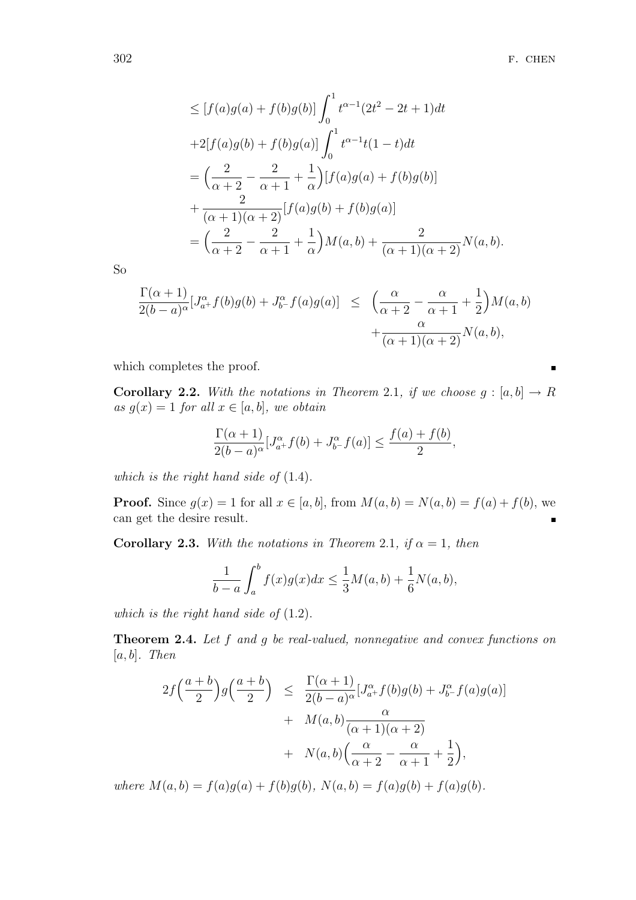$$
\leq [f(a)g(a) + f(b)g(b)] \int_0^1 t^{\alpha - 1} (2t^2 - 2t + 1) dt
$$
  
+2[f(a)g(b) + f(b)g(a)]  $\int_0^1 t^{\alpha - 1} t(1 - t) dt$   
=  $\left(\frac{2}{\alpha + 2} - \frac{2}{\alpha + 1} + \frac{1}{\alpha}\right) [f(a)g(a) + f(b)g(b)]$   
+  $\frac{2}{(\alpha + 1)(\alpha + 2)} [f(a)g(b) + f(b)g(a)]$   
=  $\left(\frac{2}{\alpha + 2} - \frac{2}{\alpha + 1} + \frac{1}{\alpha}\right) M(a, b) + \frac{2}{(\alpha + 1)(\alpha + 2)} N(a, b).$ 

So

$$
\frac{\Gamma(\alpha+1)}{2(b-a)^{\alpha}}[J^{\alpha}_{a+}f(b)g(b) + J^{\alpha}_{b-}f(a)g(a)] \leq \left(\frac{\alpha}{\alpha+2} - \frac{\alpha}{\alpha+1} + \frac{1}{2}\right)M(a,b) + \frac{\alpha}{(\alpha+1)(\alpha+2)}N(a,b),
$$

which completes the proof.

**Corollary 2.2.** With the notations in Theorem 2.1, if we choose  $g : [a, b] \rightarrow R$ as  $g(x) = 1$  for all  $x \in [a, b]$ , we obtain

$$
\frac{\Gamma(\alpha+1)}{2(b-a)^{\alpha}}[J^{\alpha}_{a+}f(b)+J^{\alpha}_{b-}f(a)] \leq \frac{f(a)+f(b)}{2},
$$

which is the right hand side of  $(1.4)$ .

**Proof.** Since  $g(x) = 1$  for all  $x \in [a, b]$ , from  $M(a, b) = N(a, b) = f(a) + f(b)$ , we can get the desire result.

Corollary 2.3. With the notations in Theorem 2.1, if  $\alpha = 1$ , then

$$
\frac{1}{b-a} \int_{a}^{b} f(x)g(x)dx \le \frac{1}{3}M(a,b) + \frac{1}{6}N(a,b),
$$

which is the right hand side of  $(1.2)$ .

Theorem 2.4. Let f and g be real-valued, nonnegative and convex functions on  $[a, b]$ . Then

$$
2f\left(\frac{a+b}{2}\right)g\left(\frac{a+b}{2}\right) \leq \frac{\Gamma(\alpha+1)}{2(b-a)^{\alpha}}[J_{a^+}^{\alpha}f(b)g(b) + J_{b^-}^{\alpha}f(a)g(a)] + M(a,b)\frac{\alpha}{(\alpha+1)(\alpha+2)} + N(a,b)\left(\frac{\alpha}{\alpha+2} - \frac{\alpha}{\alpha+1} + \frac{1}{2}\right),
$$

where  $M(a, b) = f(a)g(a) + f(b)g(b)$ ,  $N(a, b) = f(a)g(b) + f(a)g(b)$ .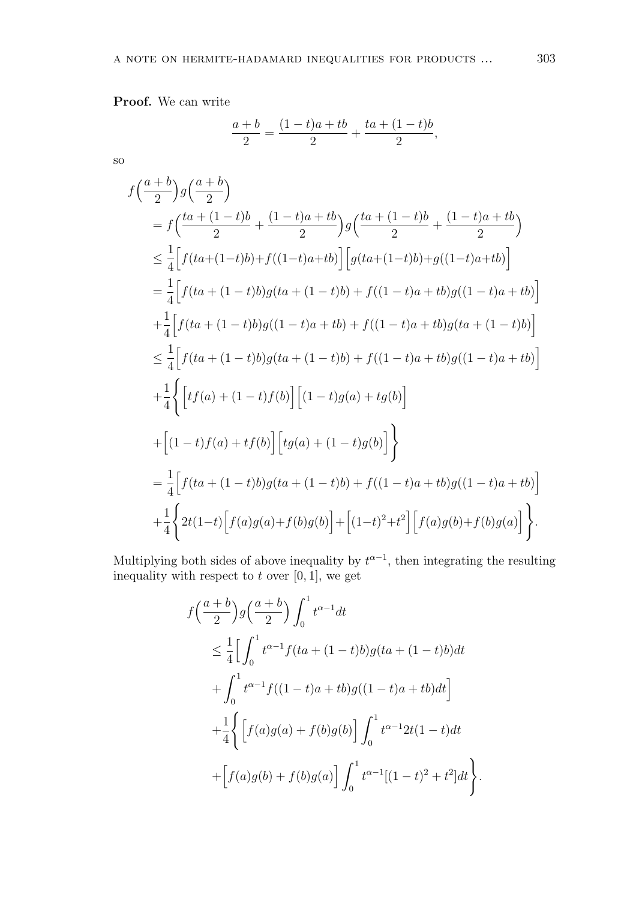Proof. We can write

$$
\frac{a+b}{2} = \frac{(1-t)a + tb}{2} + \frac{ta + (1-t)b}{2},
$$

so

$$
f\left(\frac{a+b}{2}\right)g\left(\frac{a+b}{2}\right)
$$
  
=  $f\left(\frac{ta + (1-t)b}{2} + \frac{(1-t)a + tb}{2}\right)g\left(\frac{ta + (1-t)b}{2} + \frac{(1-t)a + tb}{2}\right)$   
 $\leq \frac{1}{4}\Big[f(ta + (1-t)b) + f((1-t)a + tb)\Big] \Big[g(ta + (1-t)b) + g((1-t)a + tb)\Big]$   
=  $\frac{1}{4}\Big[f(ta + (1-t)b)g(ta + (1-t)b) + f((1-t)a + tb)g((1-t)a + tb)\Big]$   
+  $\frac{1}{4}\Big[f(ta + (1-t)b)g((1-t)a + tb) + f((1-t)a + tb)g(ta + (1-t)b)\Big]$   
 $\leq \frac{1}{4}\Big[f(ta + (1-t)b)g(ta + (1-t)b) + f((1-t)a + tb)g((1-t)a + tb)\Big]$   
+  $\frac{1}{4}\Big\{\Big[tf(a) + (1-t)f(b)\Big] \Big[tg(a) + (1-t)g(b)\Big]\Big\}$   
+  $\Big[(1-t)f(a) + tf(b)\Big] \Big[tg(a) + (1-t)g(b)\Big]\Big\}$   
=  $\frac{1}{4}\Big[f(ta + (1-t)b)g(ta + (1-t)b) + f((1-t)a + tb)g((1-t)a + tb)\Big]$   
+  $\frac{1}{4}\Big\{2t(1-t)\Big[f(a)g(a) + f(b)g(b)\Big] + \Big[(1-t)^2 + t^2\Big] \Big[f(a)g(b) + f(b)g(a)\Big]\Big\}.$ 

Multiplying both sides of above inequality by  $t^{\alpha-1}$ , then integrating the resulting inequality with respect to  $t$  over  $[0, 1]$ , we get

$$
f\left(\frac{a+b}{2}\right)g\left(\frac{a+b}{2}\right)\int_0^1 t^{\alpha-1}dt
$$
  
\n
$$
\leq \frac{1}{4}\Big[\int_0^1 t^{\alpha-1}f(ta+(1-t)b)g(ta+(1-t)b)dt
$$
  
\n
$$
+\int_0^1 t^{\alpha-1}f((1-t)a+tb)g((1-t)a+tb)dt\Big]
$$
  
\n
$$
+\frac{1}{4}\Big\{\Big[f(a)g(a)+f(b)g(b)\Big]\int_0^1 t^{\alpha-1}2t(1-t)dt
$$
  
\n
$$
+\Big[f(a)g(b)+f(b)g(a)\Big]\int_0^1 t^{\alpha-1}[(1-t)^2+t^2]dt\Big\}.
$$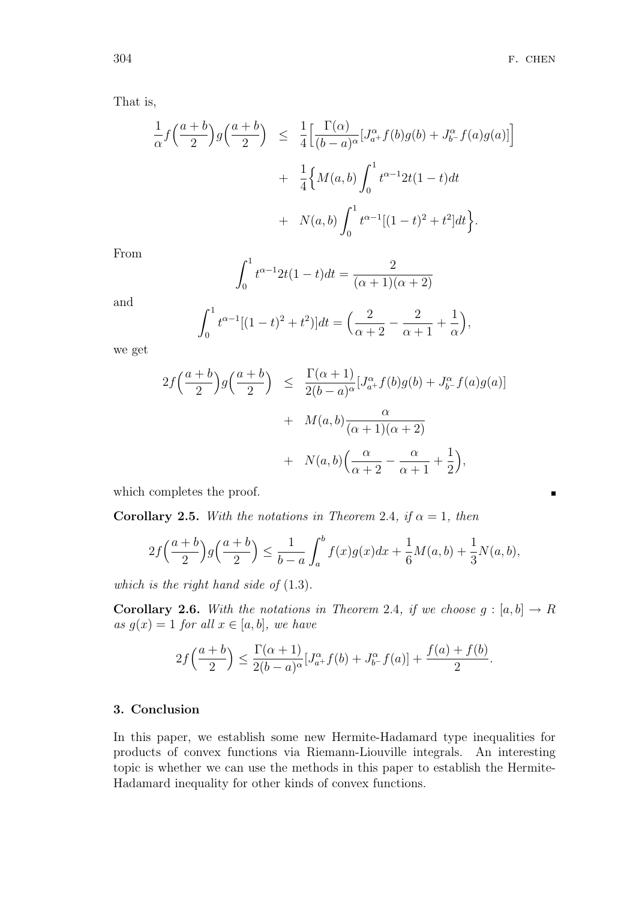$\blacksquare$ 

That is,

$$
\frac{1}{\alpha} f\left(\frac{a+b}{2}\right) g\left(\frac{a+b}{2}\right) \leq \frac{1}{4} \Big[ \frac{\Gamma(\alpha)}{(b-a)^{\alpha}} [J_{a^{+}}^{\alpha} f(b) g(b) + J_{b^{-}}^{\alpha} f(a) g(a)] \Big] \n+ \frac{1}{4} \Big\{ M(a,b) \int_{0}^{1} t^{\alpha-1} 2t(1-t) dt \n+ N(a,b) \int_{0}^{1} t^{\alpha-1} [(1-t)^{2} + t^{2}] dt \Big\}.
$$

From

$$
\int_0^1 t^{\alpha - 1} 2t(1 - t) dt = \frac{2}{(\alpha + 1)(\alpha + 2)}
$$

and

$$
\int_0^1 t^{\alpha-1} [(1-t)^2 + t^2] dt = \left( \frac{2}{\alpha+2} - \frac{2}{\alpha+1} + \frac{1}{\alpha} \right),
$$

we get

$$
2f\left(\frac{a+b}{2}\right)g\left(\frac{a+b}{2}\right) \leq \frac{\Gamma(\alpha+1)}{2(b-a)^{\alpha}}[J_{a^{+}}^{\alpha}f(b)g(b) + J_{b^{-}}^{\alpha}f(a)g(a)] + M(a,b)\frac{\alpha}{(\alpha+1)(\alpha+2)} + N(a,b)\left(\frac{\alpha}{\alpha+2} - \frac{\alpha}{\alpha+1} + \frac{1}{2}\right),
$$

which completes the proof.

**Corollary 2.5.** With the notations in Theorem 2.4, if  $\alpha = 1$ , then

$$
2f\left(\frac{a+b}{2}\right)g\left(\frac{a+b}{2}\right) \le \frac{1}{b-a} \int_a^b f(x)g(x)dx + \frac{1}{6}M(a,b) + \frac{1}{3}N(a,b),
$$

which is the right hand side of  $(1.3)$ .

**Corollary 2.6.** With the notations in Theorem 2.4, if we choose  $g : [a, b] \rightarrow R$ as  $g(x) = 1$  for all  $x \in [a, b]$ , we have

$$
2f\Big(\frac{a+b}{2}\Big)\leq \frac{\Gamma(\alpha+1)}{2(b-a)^\alpha}[J^\alpha_{a^+}f(b)+J^\alpha_{b^-}f(a)]+\frac{f(a)+f(b)}{2}.
$$

## 3. Conclusion

In this paper, we establish some new Hermite-Hadamard type inequalities for products of convex functions via Riemann-Liouville integrals. An interesting topic is whether we can use the methods in this paper to establish the Hermite-Hadamard inequality for other kinds of convex functions.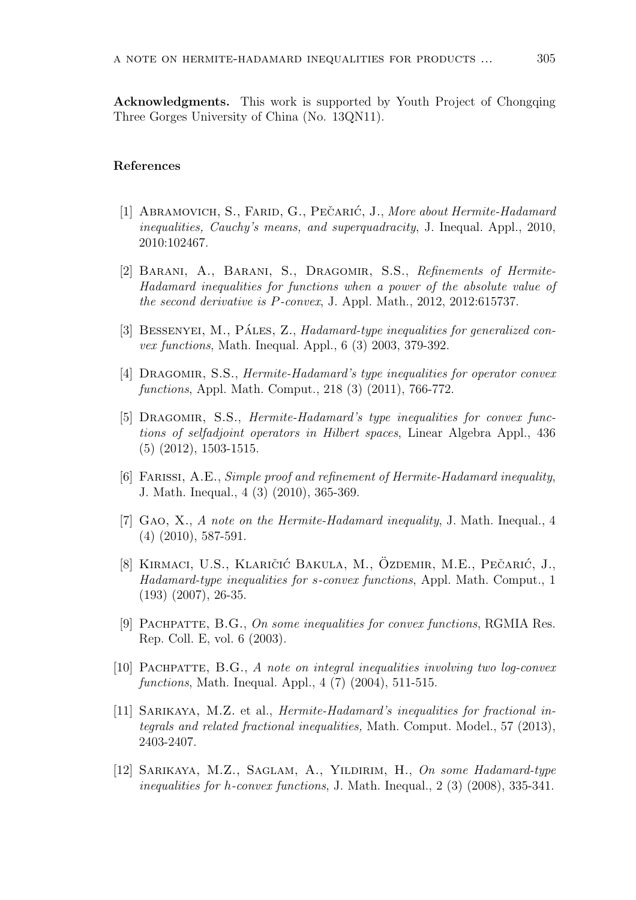Acknowledgments. This work is supported by Youth Project of Chongqing Three Gorges University of China (No. 13QN11).

#### References

- [1] ABRAMOVICH, S., FARID, G., PEČARIĆ, J., More about Hermite-Hadamard inequalities, Cauchy's means, and superquadracity, J. Inequal. Appl., 2010, 2010:102467.
- [2] Barani, A., Barani, S., Dragomir, S.S., Refinements of Hermite-Hadamard inequalities for functions when a power of the absolute value of the second derivative is P-convex, J. Appl. Math., 2012, 2012:615737.
- [3] BESSENYEI, M., PÁLES, Z., Hadamard-type inequalities for generalized convex functions, Math. Inequal. Appl., 6 (3) 2003, 379-392.
- [4] Dragomir, S.S., Hermite-Hadamard's type inequalities for operator convex functions, Appl. Math. Comput., 218 (3) (2011), 766-772.
- [5] DRAGOMIR, S.S., *Hermite-Hadamard's type inequalities for convex func*tions of selfadjoint operators in Hilbert spaces, Linear Algebra Appl., 436 (5) (2012), 1503-1515.
- [6] Farissi, A.E., Simple proof and refinement of Hermite-Hadamard inequality, J. Math. Inequal., 4 (3) (2010), 365-369.
- [7] Gao, X., A note on the Hermite-Hadamard inequality, J. Math. Inequal., 4 (4) (2010), 587-591.
- [8] KIRMACI, U.S., KLARIČIĆ BAKULA, M., ÖZDEMIR, M.E., PEČARIĆ, J., Hadamard-type inequalities for s-convex functions, Appl. Math. Comput., 1 (193) (2007), 26-35.
- [9] PACHPATTE, B.G., On some inequalities for convex functions, RGMIA Res. Rep. Coll. E, vol. 6 (2003).
- [10] Pachpatte, B.G., A note on integral inequalities involving two log-convex functions, Math. Inequal. Appl., 4 (7) (2004), 511-515.
- [11] Sarikaya, M.Z. et al., Hermite-Hadamard's inequalities for fractional integrals and related fractional inequalities, Math. Comput. Model., 57 (2013), 2403-2407.
- [12] Sarikaya, M.Z., Saglam, A., Yildirim, H., On some Hadamard-type inequalities for h-convex functions, J. Math. Inequal., 2 (3) (2008), 335-341.